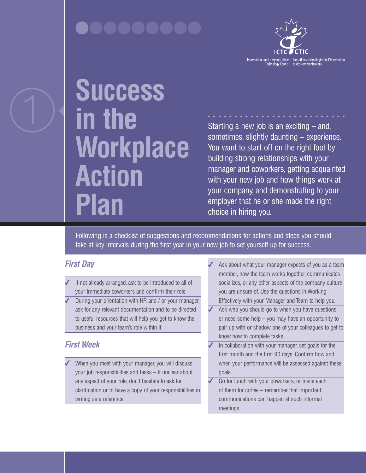

# **Success in the Workplace Action Plan**

Starting a new job is an exciting  $-$  and, sometimes, slightly daunting – experience. You want to start off on the right foot by building strong relationships with your manager and coworkers, getting acquainted with your new job and how things work at your company, and demonstrating to your employer that he or she made the right choice in hiring you.

Following is a checklist of suggestions and recommendations for actions and steps you should take at key intervals during the first year in your new job to set yourself up for success.

### *First Day*

- If not already arranged, ask to be introduced to all of your immediate coworkers and confirm their role.
- During your orientation with HR and / or your manager, ask for any relevant documentation and to be directed to useful resources that will help you get to know the business and your team's role within it.

## *First Week*

When you meet with your manager, you will discuss your job responsibilities and tasks – if unclear about any aspect of your role, don't hesitate to ask for clarification or to have a copy of your responsibilities in writing as a reference.

- Ask about what your manager expects of you as a team member, how the team works together, communicates socializes, or any other aspects of the company culture you are unsure of. Use the questions in Working Effectively with your Manager and Team to help you.
- Ask who you should go to when you have questions or need some help – you may have an opportunity to pair up with or shadow one of your colleagues to get to know how to complete tasks.
- $\blacktriangleright$  In collaboration with your manager, set goals for the first month and the first 90 days. Confirm how and when your performance will be assessed against these goals.
- Go for lunch with your coworkers, or invite each of them for coffee – remember that important communications can happen at such informal meetings.